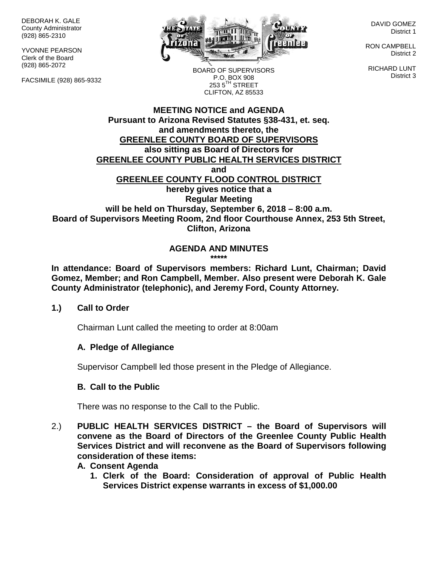DEBORAH K. GALE County Administrator (928) 865-2310

YVONNE PEARSON Clerk of the Board (928) 865-2072

FACSIMILE (928) 865-9332



DAVID GOMEZ District 1

RON CAMPBELL District 2

RICHARD LUNT District 3

BOARD OF SUPERVISORS P.O. BOX 908  $253.5$ <sup>TH</sup> STREET CLIFTON, AZ 85533

### **MEETING NOTICE and AGENDA Pursuant to Arizona Revised Statutes §38-431, et. seq. and amendments thereto, the GREENLEE COUNTY BOARD OF SUPERVISORS also sitting as Board of Directors for GREENLEE COUNTY PUBLIC HEALTH SERVICES DISTRICT and GREENLEE COUNTY FLOOD CONTROL DISTRICT hereby gives notice that a Regular Meeting will be held on Thursday, September 6, 2018 – 8:00 a.m. Board of Supervisors Meeting Room, 2nd floor Courthouse Annex, 253 5th Street, Clifton, Arizona**

# **AGENDA AND MINUTES**

**\*\*\*\*\***

**In attendance: Board of Supervisors members: Richard Lunt, Chairman; David Gomez, Member; and Ron Campbell, Member. Also present were Deborah K. Gale County Administrator (telephonic), and Jeremy Ford, County Attorney.** 

#### **1.) Call to Order**

Chairman Lunt called the meeting to order at 8:00am

# **A. Pledge of Allegiance**

Supervisor Campbell led those present in the Pledge of Allegiance.

# **B. Call to the Public**

There was no response to the Call to the Public.

2.) **PUBLIC HEALTH SERVICES DISTRICT – the Board of Supervisors will convene as the Board of Directors of the Greenlee County Public Health Services District and will reconvene as the Board of Supervisors following consideration of these items:**

#### **A. Consent Agenda**

**1. Clerk of the Board: Consideration of approval of Public Health Services District expense warrants in excess of \$1,000.00**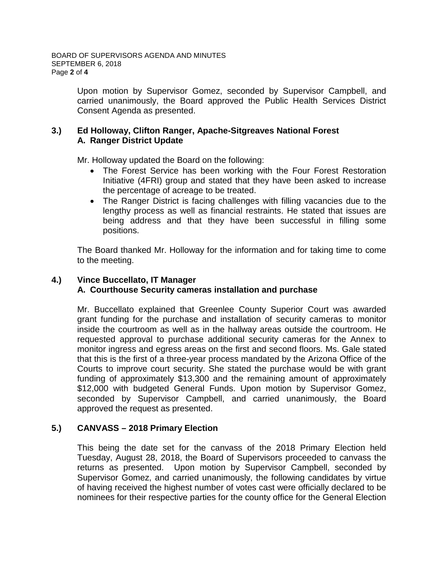Upon motion by Supervisor Gomez, seconded by Supervisor Campbell, and carried unanimously, the Board approved the Public Health Services District Consent Agenda as presented.

# **3.) Ed Holloway, Clifton Ranger, Apache-Sitgreaves National Forest A. Ranger District Update**

Mr. Holloway updated the Board on the following:

- The Forest Service has been working with the Four Forest Restoration Initiative (4FRI) group and stated that they have been asked to increase the percentage of acreage to be treated.
- The Ranger District is facing challenges with filling vacancies due to the lengthy process as well as financial restraints. He stated that issues are being address and that they have been successful in filling some positions.

The Board thanked Mr. Holloway for the information and for taking time to come to the meeting.

# **4.) Vince Buccellato, IT Manager A. Courthouse Security cameras installation and purchase**

Mr. Buccellato explained that Greenlee County Superior Court was awarded grant funding for the purchase and installation of security cameras to monitor inside the courtroom as well as in the hallway areas outside the courtroom. He requested approval to purchase additional security cameras for the Annex to monitor ingress and egress areas on the first and second floors. Ms. Gale stated that this is the first of a three-year process mandated by the Arizona Office of the Courts to improve court security. She stated the purchase would be with grant funding of approximately \$13,300 and the remaining amount of approximately \$12,000 with budgeted General Funds. Upon motion by Supervisor Gomez, seconded by Supervisor Campbell, and carried unanimously, the Board approved the request as presented.

# **5.) CANVASS – 2018 Primary Election**

This being the date set for the canvass of the 2018 Primary Election held Tuesday, August 28, 2018, the Board of Supervisors proceeded to canvass the returns as presented. Upon motion by Supervisor Campbell, seconded by Supervisor Gomez, and carried unanimously, the following candidates by virtue of having received the highest number of votes cast were officially declared to be nominees for their respective parties for the county office for the General Election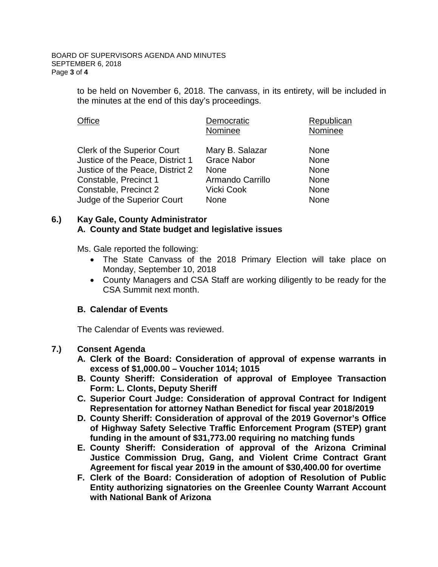to be held on November 6, 2018. The canvass, in its entirety, will be included in the minutes at the end of this day's proceedings.

| <b>Office</b>                      | Democratic         | Republican  |
|------------------------------------|--------------------|-------------|
|                                    | Nominee            | Nominee     |
| <b>Clerk of the Superior Court</b> | Mary B. Salazar    | <b>None</b> |
| Justice of the Peace, District 1   | <b>Grace Nabor</b> | <b>None</b> |
| Justice of the Peace, District 2   | <b>None</b>        | <b>None</b> |
| Constable, Precinct 1              | Armando Carrillo   | <b>None</b> |
| Constable, Precinct 2              | Vicki Cook         | <b>None</b> |
| Judge of the Superior Court        | <b>None</b>        | <b>None</b> |

# **6.) Kay Gale, County Administrator A. County and State budget and legislative issues**

Ms. Gale reported the following:

- The State Canvass of the 2018 Primary Election will take place on Monday, September 10, 2018
- County Managers and CSA Staff are working diligently to be ready for the CSA Summit next month.

# **B. Calendar of Events**

The Calendar of Events was reviewed.

# **7.) Consent Agenda**

- **A. Clerk of the Board: Consideration of approval of expense warrants in excess of \$1,000.00 – Voucher 1014; 1015**
- **B. County Sheriff: Consideration of approval of Employee Transaction Form: L. Clonts, Deputy Sheriff**
- **C. Superior Court Judge: Consideration of approval Contract for Indigent Representation for attorney Nathan Benedict for fiscal year 2018/2019**
- **D. County Sheriff: Consideration of approval of the 2019 Governor's Office of Highway Safety Selective Traffic Enforcement Program (STEP) grant funding in the amount of \$31,773.00 requiring no matching funds**
- **E. County Sheriff: Consideration of approval of the Arizona Criminal Justice Commission Drug, Gang, and Violent Crime Contract Grant Agreement for fiscal year 2019 in the amount of \$30,400.00 for overtime**
- **F. Clerk of the Board: Consideration of adoption of Resolution of Public Entity authorizing signatories on the Greenlee County Warrant Account with National Bank of Arizona**